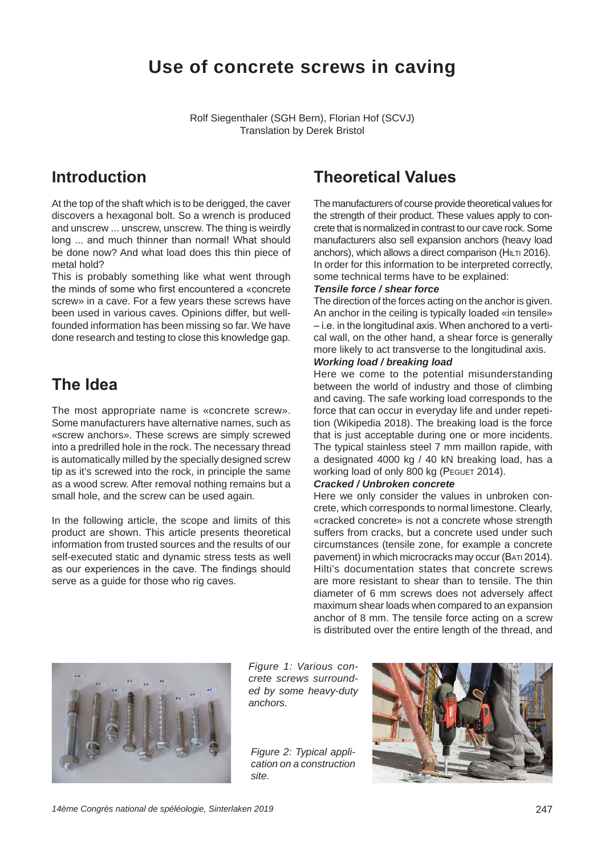# **Use of concrete screws in caving**

Rolf Siegenthaler (SGH Bern), Florian Hof (SCVJ) Translation by Derek Bristol

### **Introduction**

At the top of the shaft which is to be derigged, the caver discovers a hexagonal bolt. So a wrench is produced and unscrew ... unscrew, unscrew. The thing is weirdly long ... and much thinner than normal! What should be done now? And what load does this thin piece of metal hold?

This is probably something like what went through the minds of some who first encountered a «concrete screw» in a cave. For a few years these screws have been used in various caves. Opinions differ, but wellfounded information has been missing so far. We have done research and testing to close this knowledge gap.

### **The Idea**

The most appropriate name is «concrete screw». Some manufacturers have alternative names, such as «screw anchors». These screws are simply screwed into a predrilled hole in the rock. The necessary thread is automatically milled by the specially designed screw tip as it's screwed into the rock, in principle the same as a wood screw. After removal nothing remains but a small hole, and the screw can be used again.

In the following article, the scope and limits of this product are shown. This article presents theoretical information from trusted sources and the results of our self-executed static and dynamic stress tests as well as our experiences in the cave. The findings should serve as a guide for those who rig caves.

## **Theoretical Values**

The manufacturers of course provide theoretical values for the strength of their product. These values apply to concrete that is normalized in contrast to our cave rock. Some manufacturers also sell expansion anchors (heavy load anchors), which allows a direct comparison (HILTI 2016). In order for this information to be interpreted correctly, some technical terms have to be explained:

#### *Tensile force / shear force*

The direction of the forces acting on the anchor is given. An anchor in the ceiling is typically loaded «in tensile»  $-i.e.$  in the longitudinal axis. When anchored to a vertical wall, on the other hand, a shear force is generally more likely to act transverse to the longitudinal axis.

#### *Working load / breaking load*

Here we come to the potential misunderstanding between the world of industry and those of climbing and caving. The safe working load corresponds to the force that can occur in everyday life and under repetition (Wikipedia 2018). The breaking load is the force that is just acceptable during one or more incidents. The typical stainless steel 7 mm maillon rapide, with a designated 4000 kg / 40 kN breaking load, has a working load of only 800 kg (PEGUET 2014).

### *Cracked / Unbroken concrete*

Here we only consider the values in unbroken concrete, which corresponds to normal limestone. Clearly, «cracked concrete» is not a concrete whose strength suffers from cracks, but a concrete used under such circumstances (tensile zone, for example a concrete pavement) in which microcracks may occur (BATI 2014). Hilti's documentation states that concrete screws are more resistant to shear than to tensile. The thin diameter of 6 mm screws does not adversely affect maximum shear loads when compared to an expansion anchor of 8 mm. The tensile force acting on a screw is distributed over the entire length of the thread, and



*Figure 1: Various concrete screws surrounded by some heavy-duty anchors.*

*Figure 2: Typical application on a construction site.*

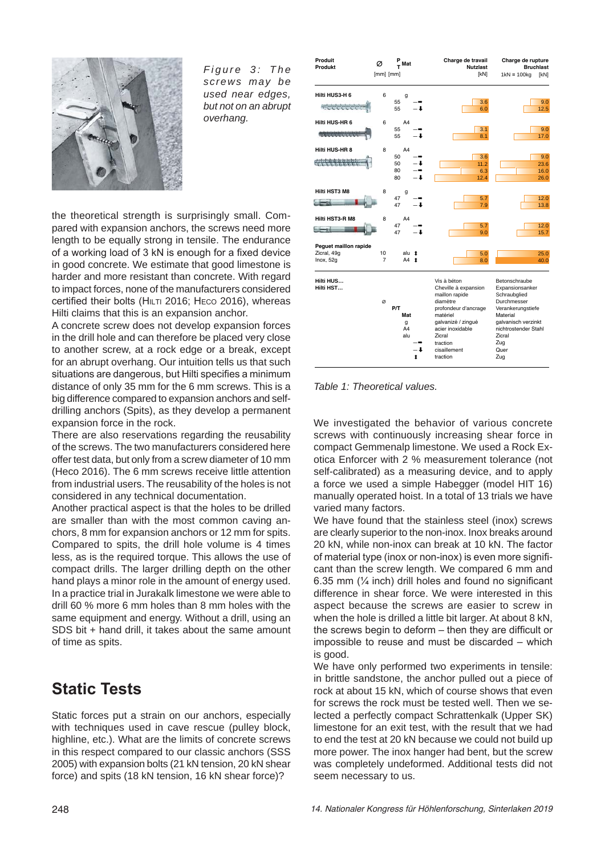

*Figure 3: The screws may be used near edges, but not on an abrupt overhang.*

**Produit** 

 $\varnothing$   $\Gamma$ <sup>P</sup> Mat **-Bruc ! 
 "-** $1kN \equiv 100ka$ [mm] [mm ] 1kN] 1k g [kN] **Hilti HUS3-H 6** 6  $55 \quad - \rightarrow \quad \qquad \qquad \boxed{3}$  $9.6$ \*\*\*\*\*\*\*\*\*\*  $\frac{80}{55}$  $\downarrow$  6.0 12.5 **Hilti HUS-HR 6** 6<br>55  $55 - \rightarrow \qquad \qquad$  3  $\mathbf{0.1}$  9.0 Antointeletatetek 55  $\downarrow$   $\downarrow$  8.1 17.0  !  $50 \quad - \rightarrow \quad 3$  $9.6$ 4444444444 50<br>80  $\downarrow$  (11.2) 23 ì.6  $80 \quad - \rightarrow \quad 6.3$  $16.0$  $80$  $\downarrow$  26.0 **Hilti HST3 M8** 8 47  $\rightarrow$  5.7 12.0  $-2$ 47  $\downarrow$  13 l.ε **Hilti HST3-R M8** 47  $\rightarrow$  5.7 12.0  $-1$ 47  $\downarrow$  15.7 **Peguet maillon rapide** alu  $\uparrow$  A4  $\uparrow$ Zicral, 49g 10 a  $\downarrow$  5.0 25.0 Inox, 52g  $\downarrow$   $\downarrow$   $\downarrow$   $\downarrow$   $\downarrow$   $\downarrow$   $\downarrow$   $\downarrow$   $\downarrow$   $\downarrow$   $\downarrow$   $\downarrow$   $\downarrow$   $\downarrow$   $\downarrow$   $\downarrow$   $\downarrow$   $\downarrow$   $\downarrow$   $\downarrow$   $\downarrow$   $\downarrow$   $\downarrow$   $\downarrow$   $\downarrow$   $\downarrow$   $\downarrow$   $\downarrow$   $\downarrow$   $\downarrow$   $\downarrow$   $\downarrow$   $\downarrow$   $\downarrow$   $\downarrow$   $\downarrow$   $\downarrow$ Vis à béton Betonschraube **--**Cheville à expansion Expansionsar<br>
maillon rapide Schraubglied **-**e maillon rapide<br>diamètre diamètre Durchmesser<br>
P/T profondeur d'ancrage Verankerung profondeur d'ancrage Verankerungstiefe **Mat** atériel Ma ıteria g yalvanizé / zingué ya ılvanisch verzinkl  $\frac{9}{44}$ -<br>acier inoxidab ble nichtrostender Stah Zicral a d Zicral traction Zug  $\overline{O}$ uer  $-+$  $\downarrow$  cisaillem traction Zug  $\ddot{\phantom{a}}$ 

**Charge de travai** 

avail Charge de rupture

*Table 1: Theoretical values.*

We investigated the behavior of various concrete screws with continuously increasing shear force in compact Gemmenalp limestone. We used a Rock Exotica Enforcer with 2 % measurement tolerance (not self-calibrated) as a measuring device, and to apply a force we used a simple Habegger (model HIT 16) manually operated hoist. In a total of 13 trials we have varied many factors.

We have found that the stainless steel (inox) screws are clearly superior to the non-inox. Inox breaks around 20 kN, while non-inox can break at 10 kN. The factor of material type (inox or non-inox) is even more significant than the screw length. We compared 6 mm and 6.35 mm  $(\frac{1}{4}$  inch) drill holes and found no significant difference in shear force. We were interested in this aspect because the screws are easier to screw in when the hole is drilled a little bit larger. At about 8 kN, the screws begin to deform  $-$  then thev are difficult or impossible to reuse and must be discarded  $-$  which is good.

We have only performed two experiments in tensile: in brittle sandstone, the anchor pulled out a piece of rock at about 15 kN, which of course shows that even for screws the rock must be tested well. Then we selected a perfectly compact Schrattenkalk (Upper SK) limestone for an exit test, with the result that we had to end the test at 20 kN because we could not build up more power. The inox hanger had bent, but the screw was completely undeformed. Additional tests did not seem necessary to us.

the theoretical strength is surprisingly small. Compared with expansion anchors, the screws need more length to be equally strong in tensile. The endurance of a working load of 3 kN is enough for a fixed device in good concrete. We estimate that good limestone is harder and more resistant than concrete. With regard to impact forces, none of the manufacturers considered certified their bolts ( $HILTI$  2016; HECO 2016), whereas Hilti claims that this is an expansion anchor.

A concrete screw does not develop expansion forces in the drill hole and can therefore be placed very close to another screw, at a rock edge or a break, except for an abrupt overhang. Our intuition tells us that such situations are dangerous, but Hilti specifies a minimum distance of only 35 mm for the 6 mm screws. This is a big difference compared to expansion anchors and selfdrilling anchors (Spits), as they develop a permanent expansion force in the rock.

There are also reservations regarding the reusability of the screws. The two manufacturers considered here offer test data, but only from a screw diameter of 10 mm (Heco 2016). The 6 mm screws receive little attention from industrial users. The reusability of the holes is not considered in any technical documentation.

Another practical aspect is that the holes to be drilled are smaller than with the most common caving anchors, 8 mm for expansion anchors or 12 mm for spits. Compared to spits, the drill hole volume is 4 times less, as is the required torque. This allows the use of compact drills. The larger drilling depth on the other hand plays a minor role in the amount of energy used. In a practice trial in Jurakalk limestone we were able to drill 60 % more 6 mm holes than 8 mm holes with the same equipment and energy. Without a drill, using an SDS bit + hand drill, it takes about the same amount of time as spits.

# **Static Tests**

Static forces put a strain on our anchors, especially with techniques used in cave rescue (pulley block, highline, etc.). What are the limits of concrete screws in this respect compared to our classic anchors (SSS 2005) with expansion bolts (21 kN tension, 20 kN shear force) and spits (18 kN tension, 16 kN shear force)?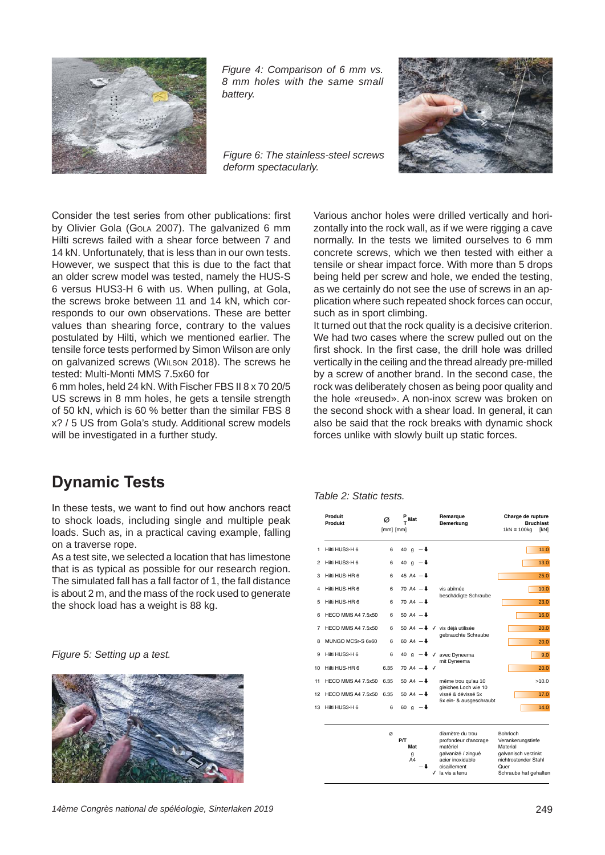

*Figure 4: Comparison of 6 mm vs. 8 mm holes with the same small battery.*

*Figure 6: The stainless-steel screws deform spectacularly.*



Consider the test series from other publications: first by Olivier Gola (GoLA 2007). The galvanized 6 mm Hilti screws failed with a shear force between 7 and 14 kN. Unfortunately, that is less than in our own tests. However, we suspect that this is due to the fact that an older screw model was tested, namely the HUS-S 6 versus HUS3-H 6 with us. When pulling, at Gola, the screws broke between 11 and 14 kN, which corresponds to our own observations. These are better values than shearing force, contrary to the values postulated by Hilti, which we mentioned earlier. The tensile force tests performed by Simon Wilson are only on galvanized screws (WILSON 2018). The screws he tested: Multi-Monti MMS 7.5x60 for

6 mm holes, held 24 kN. With Fischer FBS II 8 x 70 20/5 US screws in 8 mm holes, he gets a tensile strength of 50 kN, which is 60 % better than the similar FBS 8 x? / 5 US from Gola's study. Additional screw models will be investigated in a further study.

#### Various anchor holes were drilled vertically and horizontally into the rock wall, as if we were rigging a cave normally. In the tests we limited ourselves to 6 mm concrete screws, which we then tested with either a tensile or shear impact force. With more than 5 drops being held per screw and hole, we ended the testing, as we certainly do not see the use of screws in an application where such repeated shock forces can occur, such as in sport climbing.

It turned out that the rock quality is a decisive criterion. We had two cases where the screw pulled out on the first shock. In the first case, the drill hole was drilled vertically in the ceiling and the thread already pre-milled by a screw of another brand. In the second case, the rock was deliberately chosen as being poor quality and the hole «reused». A non-inox screw was broken on the second shock with a shear load. In general, it can also be said that the rock breaks with dynamic shock forces unlike with slowly built up static forces.

## **Dynamic Tests**

In these tests, we want to find out how anchors react to shock loads, including single and multiple peak loads. Such as, in a practical caving example, falling on a traverse rope.

As a test site, we selected a location that has limestone that is as typical as possible for our research region. The simulated fall has a fall factor of 1, the fall distance is about 2 m, and the mass of the rock used to generate the shock load has a weight is 88 kg.

*Figure 5: Setting up a test.*



#### *Table 2: Static tests.*

|    | Produit<br>Produkt | Ø<br>$[mm]$ $[mm]$ | $\frac{P}{T}$ Mat                        |   | Remarque<br><b>Bemerkung</b>                                                                                                    | Charge de rupture<br><b>Bruchlast</b><br>$1kN \equiv 100ka$<br><b>IkN1</b>                                                |
|----|--------------------|--------------------|------------------------------------------|---|---------------------------------------------------------------------------------------------------------------------------------|---------------------------------------------------------------------------------------------------------------------------|
| 1  | Hilti HUS3-H 6     | 6                  | 40 g $-$ +                               |   |                                                                                                                                 | 11.0                                                                                                                      |
| 2  | Hilti HUS3-H 6     | 6                  | 40 g $-$                                 |   |                                                                                                                                 | 13.0                                                                                                                      |
| 3  | Hilti HUS-HR 6     | 6                  | 45 A4 $-$                                |   |                                                                                                                                 | 25.0                                                                                                                      |
| 4  | Hilti HUS-HR 6     | 6                  | 70 A4 $-$                                |   | vis abîmée<br>beschädigte Schraube                                                                                              | 10.0                                                                                                                      |
| 5  | Hilti HUS-HR 6     | 6                  | 70 A4 $-$                                |   |                                                                                                                                 | 23.0                                                                                                                      |
| 6  | HECO MMS A4 7.5x50 | 6                  | 50 A4 $-$ +                              |   |                                                                                                                                 | 16.0                                                                                                                      |
| 7  | HECO MMS A4 7.5x50 | 6                  |                                          |   | 50 A4 -↓ √ vis déjà utilisée<br>gebrauchte Schraube                                                                             | 20.0                                                                                                                      |
| 8  | MUNGO MCSr-S 6x60  | 6                  | 60 A4 $ +$                               |   |                                                                                                                                 | 20.0                                                                                                                      |
| 9  | Hilti HUS3-H 6     | 6                  | 40<br>$a - 1$                            | ✓ | avec Dyneema                                                                                                                    | 9.0                                                                                                                       |
| 10 | Hilti HUS-HR 6     | 6.35               | 70 A4 $-1$ $\sqrt{ }$                    |   | mit Dyneema                                                                                                                     | 20.0                                                                                                                      |
| 11 | HECO MMS A4 7.5x50 | 6.35               | 50 A4 $-$                                |   | même trou qu'au 10                                                                                                              | >10.0                                                                                                                     |
| 12 | HECO MMS A4 7.5x50 | 6.35               | 50 A4 $ \uparrow$                        |   | aleiches Loch wie 10<br>vissé & dévissé 5x                                                                                      | 17.0                                                                                                                      |
| 13 | Hilti HUS3-H 6     | 6                  | 60 $q - 1$                               |   | 5x ein- & ausgeschraubt                                                                                                         | 14.0                                                                                                                      |
|    |                    | Ø                  | P/T<br>Mat<br>g<br>A <sub>4</sub><br>. . | ✓ | diamètre du trou<br>profondeur d'ancrage<br>matériel<br>galvanizé / zingué<br>acier inoxidable<br>cisaillement<br>la vis a tenu | Bohrloch<br>Verankerungstiefe<br>Material<br>galvanisch verzinkt<br>nichtrostender Stahl<br>Quer<br>Schraube hat gehalten |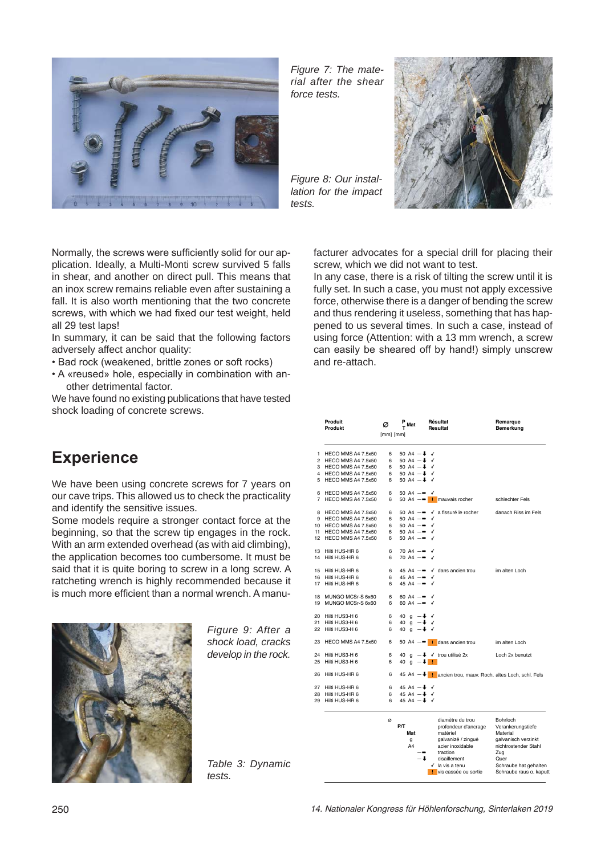

*Figure 7: The material after the shear force tests.*

*Figure 8: Our installation for the impact tests.*



Normally, the screws were sufficiently solid for our application. Ideally, a Multi-Monti screw survived 5 falls in shear, and another on direct pull. This means that an inox screw remains reliable even after sustaining a fall. It is also worth mentioning that the two concrete screws, with which we had fixed our test weight, held all 29 test laps!

In summary, it can be said that the following factors adversely affect anchor quality:

- . Bad rock (weakened, brittle zones or soft rocks)
- A «reused» hole, especially in combination with another detrimental factor.

We have found no existing publications that have tested shock loading of concrete screws.

## **Experience**

We have been using concrete screws for 7 years on our cave trips. This allowed us to check the practicality and identify the sensitive issues.

Some models require a stronger contact force at the beginning, so that the screw tip engages in the rock. With an arm extended overhead (as with aid climbing), the application becomes too cumbersome. It must be said that it is quite boring to screw in a long screw. A ratcheting wrench is highly recommended because it is much more efficient than a normal wrench. A manu-



*Figure 9: After a shock load, cracks develop in the rock.*

*Table 3: Dynamic tests.*

facturer advocates for a special drill for placing their screw, which we did not want to test.

In any case, there is a risk of tilting the screw until it is fully set. In such a case, you must not apply excessive force, otherwise there is a danger of bending the screw and thus rendering it useless, something that has happened to us several times. In such a case, instead of using force (Attention: with a 13 mm wrench, a screw can easily be sheared off by hand!) simply unscrew and re-attach.

|          | Produit<br>Produkt                           | $\frac{P}{T}$ Mat<br>Ø<br>$[mm]$ $[mm]$ |                                                                     |     | Résultat<br><b>Resultat</b>                                            | Remarque<br>Bemerkung   |
|----------|----------------------------------------------|-----------------------------------------|---------------------------------------------------------------------|-----|------------------------------------------------------------------------|-------------------------|
|          |                                              |                                         |                                                                     |     |                                                                        |                         |
|          |                                              |                                         |                                                                     |     |                                                                        |                         |
| 1.       | HECO MMS A4 7.5x50                           | 6                                       | 50 A4 $ \uparrow$ $\checkmark$                                      |     |                                                                        |                         |
|          | 2 HECO MMS A4 7.5x50<br>3 HECO MMS A4 7.5x50 | 6<br>6                                  | 50 A4 $ \uparrow$ $\checkmark$<br>50 A4 $-\frac{1}{2}$ $\checkmark$ |     |                                                                        |                         |
|          | 4 HECO MMS A4 7.5x50                         | 6                                       | 50 A4 $-\frac{1}{2}$ $\sqrt{}$                                      |     |                                                                        |                         |
|          | 5 HECO MMS A4 7.5x50                         | 6                                       | 50 A4 $ \uparrow$ $\checkmark$                                      |     |                                                                        |                         |
|          |                                              |                                         |                                                                     |     |                                                                        |                         |
|          | 6 HECO MMS A4 7.5x50                         | 6                                       | 50 A4 $-\rightarrow$                                                | ✓   |                                                                        |                         |
|          | 7 HECO MMS A4 7.5x50                         | 6                                       |                                                                     |     | 50 A4 $-\rightarrow$   mauvais rocher                                  | schlechter Fels         |
|          |                                              |                                         |                                                                     |     |                                                                        |                         |
|          | 8 HECO MMS A4 7.5x50                         | 6                                       |                                                                     |     | 50 A4 - ↓ √ a fissuré le rocher                                        | danach Riss im Fels     |
|          | 9 HECO MMS A4 7.5x50                         | 6                                       | 50 A4 $-$                                                           | ✓   |                                                                        |                         |
|          | 10 HECO MMS A4 7.5x50                        | 6                                       | 50 A4 $-\rightarrow$ $\checkmark$                                   |     |                                                                        |                         |
| 11       | HECO MMS A4 7.5x50                           | 6                                       | 50 A4 $-$                                                           | √   |                                                                        |                         |
|          | 12 HECO MMS A4 7.5x50                        | 6                                       | 50 A4 $-$                                                           |     |                                                                        |                         |
|          |                                              |                                         |                                                                     |     |                                                                        |                         |
|          | 13 Hilti HUS-HR 6                            | 6                                       | 70 A4 $-\rightarrow$                                                | √   |                                                                        |                         |
|          | 14 Hilti HUS-HR 6                            | 6                                       | 70 A4 $-\rightarrow$                                                | ✓   |                                                                        |                         |
|          | 15 Hilti HUS-HR 6                            | 6                                       |                                                                     |     | 45 A4 $-\rightarrow \sqrt{}$ dans ancien trou                          | im alten Loch           |
|          | 16 Hilti HUS-HR 6                            | 6                                       | 45 A4 $-\bullet \checkmark$                                         |     |                                                                        |                         |
|          | 17 Hilti HUS-HR 6                            | 6                                       | 45 A4 $-\rightarrow$                                                | √   |                                                                        |                         |
|          |                                              |                                         |                                                                     |     |                                                                        |                         |
|          | 18 MUNGO MCSr-S 6x60                         | 6                                       | 60 A4 $-\rightarrow$ $\checkmark$                                   |     |                                                                        |                         |
|          | 19 MUNGO MCSr-S 6x60                         | 6                                       | 60 A4 $-\rightarrow$ $\checkmark$                                   |     |                                                                        |                         |
|          |                                              |                                         |                                                                     |     |                                                                        |                         |
|          | 20 Hilti HUS3-H 6                            | 6                                       | 40 g $-\frac{1}{2}$ $\sqrt{ }$                                      |     |                                                                        |                         |
| 21       | Hilti HUS3-H 6                               | 6                                       | 40 g $-\frac{1}{2}$ $\checkmark$                                    |     |                                                                        |                         |
|          | 22 Hilti HUS3-H 6                            | 6                                       | 40 $q = \downarrow \checkmark$                                      |     |                                                                        |                         |
|          | 23 HECO MMS A4 7.5x50                        | 6                                       |                                                                     |     | 50 A4 $-\rightarrow$   dans ancien trou                                | im alten Loch           |
|          |                                              |                                         |                                                                     |     |                                                                        |                         |
| 24       | Hilti HUS3-H 6                               | 6                                       |                                                                     |     | 40 $g \rightarrow$ $\sqrt{}$ trou utilisé 2x                           | Loch 2x benutzt         |
| 25       | Hilti HUS3-H 6                               | 6                                       | 40 g $ \frac{1}{1}$                                                 |     |                                                                        |                         |
|          |                                              |                                         |                                                                     |     |                                                                        |                         |
|          | 26 Hilti HUS-HR 6                            | 6                                       |                                                                     |     | 45 A4 $-\frac{1}{2}$   ancien trou, mauv. Roch. altes Loch, schl. Fels |                         |
|          |                                              |                                         |                                                                     |     |                                                                        |                         |
| 27<br>28 | Hilti HUS-HR 6<br>Hilti HUS-HR 6             | 6<br>6                                  | 45 A4 $-\frac{1}{2}$ $\sqrt{}$                                      |     |                                                                        |                         |
| 29       | Hilti HUS-HR 6                               | 6                                       | 45 A4 $ \uparrow$ $\checkmark$<br>45 A4 $ \uparrow$ $\checkmark$    |     |                                                                        |                         |
|          |                                              |                                         |                                                                     |     |                                                                        |                         |
|          |                                              |                                         |                                                                     |     |                                                                        |                         |
|          |                                              | ø                                       |                                                                     |     | diamètre du trou                                                       | Bohrloch                |
|          |                                              |                                         | P/T                                                                 |     | profondeur d'ancrage                                                   | Verankerungstiefe       |
|          |                                              |                                         | Mat                                                                 |     | matériel                                                               | Material                |
|          |                                              |                                         | q                                                                   |     | galvanizé / zingué                                                     | galvanisch verzinkt     |
|          |                                              |                                         | A4                                                                  |     | acier inoxidable                                                       | nichtrostender Stahl    |
|          |                                              |                                         |                                                                     |     | traction                                                               | Zug                     |
|          |                                              |                                         |                                                                     | - 1 | cisaillement                                                           | Quer                    |
|          |                                              |                                         |                                                                     |     | $\checkmark$ la vis a tenu                                             | Schraube hat gehalten   |
|          |                                              |                                         |                                                                     |     | I vis cassée ou sortie                                                 | Schraube raus o. kaputt |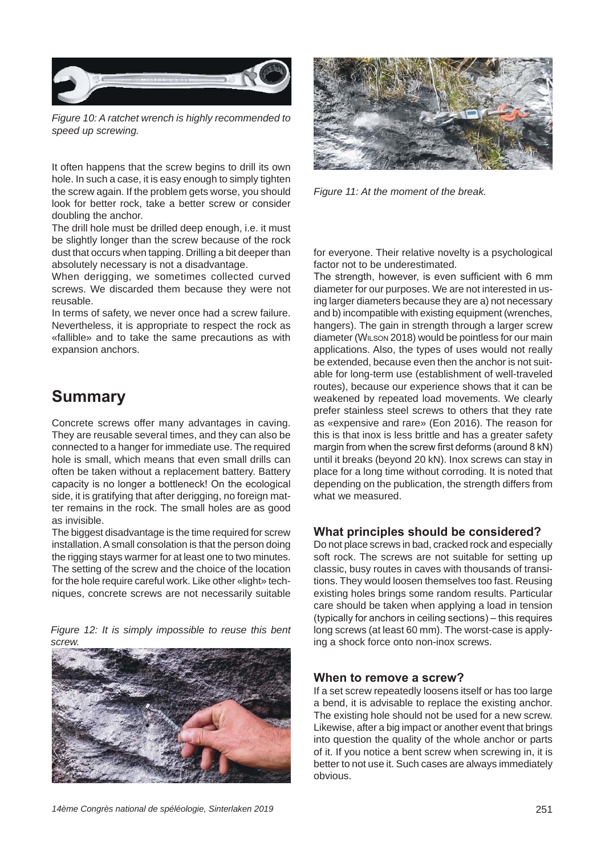

*Figure 10: A ratchet wrench is highly recommended to speed up screwing.*

It often happens that the screw begins to drill its own hole. In such a case, it is easy enough to simply tighten the screw again. If the problem gets worse, you should look for better rock, take a better screw or consider doubling the anchor.

The drill hole must be drilled deep enough, i.e. it must be slightly longer than the screw because of the rock dust that occurs when tapping. Drilling a bit deeper than absolutely necessary is not a disadvantage.

When derigging, we sometimes collected curved screws. We discarded them because they were not reusable.

In terms of safety, we never once had a screw failure. Nevertheless, it is appropriate to respect the rock as «fallible» and to take the same precautions as with expansion anchors.

# **Summary**

Concrete screws offer many advantages in caving. They are reusable several times, and they can also be connected to a hanger for immediate use. The required hole is small, which means that even small drills can often be taken without a replacement battery. Battery capacity is no longer a bottleneck! On the ecological side, it is gratifying that after derigging, no foreign matter remains in the rock. The small holes are as good as invisible.

The biggest disadvantage is the time required for screw installation. A small consolation is that the person doing the rigging stays warmer for at least one to two minutes. The setting of the screw and the choice of the location for the hole require careful work. Like other «light» techniques, concrete screws are not necessarily suitable







*Figure 11: At the moment of the break.*

for everyone. Their relative novelty is a psychological factor not to be underestimated.

The strength, however, is even sufficient with 6 mm diameter for our purposes. We are not interested in using larger diameters because they are a) not necessary and b) incompatible with existing equipment (wrenches, hangers). The gain in strength through a larger screw diameter (WILSON 2018) would be pointless for our main applications. Also, the types of uses would not really be extended, because even then the anchor is not suitable for long-term use (establishment of well-traveled routes), because our experience shows that it can be weakened by repeated load movements. We clearly prefer stainless steel screws to others that they rate as «expensive and rare» (Eon 2016). The reason for this is that inox is less brittle and has a greater safety margin from when the screw first deforms (around  $8$  kN) until it breaks (beyond 20 kN). Inox screws can stay in place for a long time without corroding. It is noted that depending on the publication, the strength differs from what we measured.

### **What principles should be considered?**

Do not place screws in bad, cracked rock and especially soft rock. The screws are not suitable for setting up classic, busy routes in caves with thousands of transitions. They would loosen themselves too fast. Reusing existing holes brings some random results. Particular care should be taken when applying a load in tension  $(t$ ypically for anchors in ceiling sections) – this requires long screws (at least 60 mm). The worst-case is applying a shock force onto non-inox screws.

#### **When to remove a screw?**

If a set screw repeatedly loosens itself or has too large a bend, it is advisable to replace the existing anchor. The existing hole should not be used for a new screw. Likewise, after a big impact or another event that brings into question the quality of the whole anchor or parts of it. If you notice a bent screw when screwing in, it is better to not use it. Such cases are always immediately obvious.